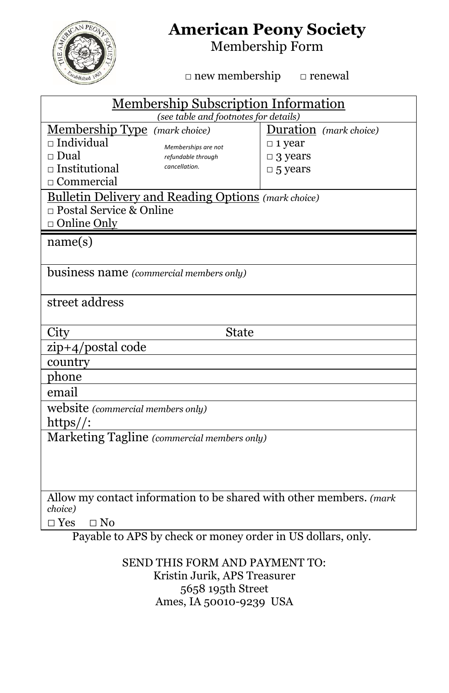

## **American Peony Society**

Membership Form

□ new membership □ renewal

| <b>Membership Subscription Information</b>                                     |                        |  |  |  |  |
|--------------------------------------------------------------------------------|------------------------|--|--|--|--|
| (see table and footnotes for details)                                          |                        |  |  |  |  |
| Membership Type (mark choice)                                                  | Duration (mark choice) |  |  |  |  |
| $\Box$ Individual<br>Memberships are not                                       | $\Box$ 1 year          |  |  |  |  |
| $\Box$ Dual<br>refundable through                                              | $\Box$ 3 years         |  |  |  |  |
| $\Box$ Institutional<br>cancellation.                                          | $\Box$ 5 years         |  |  |  |  |
| $\Box$ Commercial                                                              |                        |  |  |  |  |
| <b>Bulletin Delivery and Reading Options</b> (mark choice)                     |                        |  |  |  |  |
| $\Box$ Postal Service & Online                                                 |                        |  |  |  |  |
| □ Online Only                                                                  |                        |  |  |  |  |
| name(s)                                                                        |                        |  |  |  |  |
|                                                                                |                        |  |  |  |  |
| business name (commercial members only)                                        |                        |  |  |  |  |
|                                                                                |                        |  |  |  |  |
| street address                                                                 |                        |  |  |  |  |
|                                                                                |                        |  |  |  |  |
| City<br>State                                                                  |                        |  |  |  |  |
| zip+4/postal code                                                              |                        |  |  |  |  |
|                                                                                |                        |  |  |  |  |
| country                                                                        |                        |  |  |  |  |
| phone                                                                          |                        |  |  |  |  |
| email                                                                          |                        |  |  |  |  |
| website (commercial members only)                                              |                        |  |  |  |  |
| $\frac{https://c}{$                                                            |                        |  |  |  |  |
| Marketing Tagline (commercial members only)                                    |                        |  |  |  |  |
|                                                                                |                        |  |  |  |  |
|                                                                                |                        |  |  |  |  |
|                                                                                |                        |  |  |  |  |
| Allow my contact information to be shared with other members. (mark<br>choice) |                        |  |  |  |  |
| $\sqcap$ Yes<br>$\Box$ No                                                      |                        |  |  |  |  |

SEND THIS FORM AND PAYMENT TO: Kristin Jurik, APS Treasurer 5658 195th Street Ames, IA 50010-9239 USA